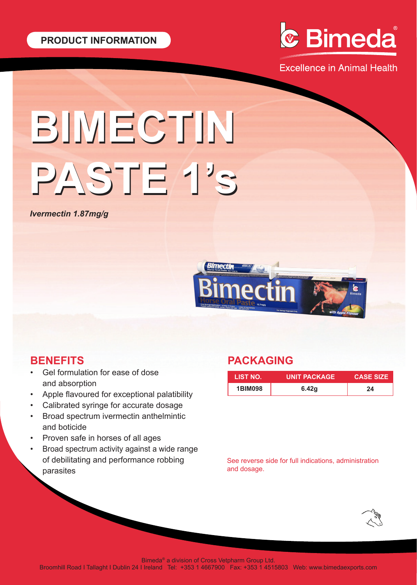

**Excellence in Animal Health** 

# **BIMECTIN BIMECTIN PASTE 1's PASTE 1's**

*Ivermectin 1.87mg/g*



## **BENEFITS**

- Gel formulation for ease of dose and absorption
- Apple flavoured for exceptional palatibility
- Calibrated syringe for accurate dosage
- Broad spectrum ivermectin anthelmintic and boticide
- Proven safe in horses of all ages
- Broad spectrum activity against a wide range of debilitating and performance robbing parasites

## **PACKAGING**

| LIST NO.       | UNIT PACKAGE ! | <b>CASE SIZE</b> |
|----------------|----------------|------------------|
| <b>1BIM098</b> | 6.42a          | 24               |

See reverse side for full indications, administration and dosage.



Bimeda® a division of Cross Vetpharm Group Ltd.

Broomhill Road I Tallaght I Dublin 24 I Ireland Tel: +353 1 4667900 Fax: +353 1 4515803 Web: www.bimedaexports.com